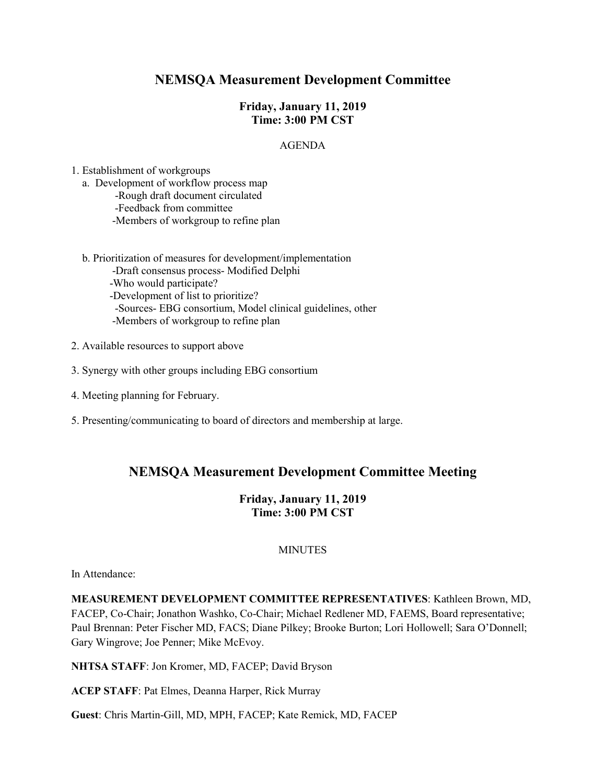# **NEMSQA Measurement Development Committee**

### **Friday, January 11, 2019 Time: 3:00 PM CST**

### AGENDA

1. Establishment of workgroups

- a. Development of workflow process map -Rough draft document circulated -Feedback from committee -Members of workgroup to refine plan
- b. Prioritization of measures for development/implementation -Draft consensus process- Modified Delphi -Who would participate? -Development of list to prioritize? -Sources- EBG consortium, Model clinical guidelines, other -Members of workgroup to refine plan
- 2. Available resources to support above
- 3. Synergy with other groups including EBG consortium
- 4. Meeting planning for February.
- 5. Presenting/communicating to board of directors and membership at large.

## **NEMSQA Measurement Development Committee Meeting**

### **Friday, January 11, 2019 Time: 3:00 PM CST**

### **MINUTES**

In Attendance:

**MEASUREMENT DEVELOPMENT COMMITTEE REPRESENTATIVES**: Kathleen Brown, MD, FACEP, Co-Chair; Jonathon Washko, Co-Chair; Michael Redlener MD, FAEMS, Board representative; Paul Brennan: Peter Fischer MD, FACS; Diane Pilkey; Brooke Burton; Lori Hollowell; Sara O'Donnell; Gary Wingrove; Joe Penner; Mike McEvoy.

**NHTSA STAFF**: Jon Kromer, MD, FACEP; David Bryson

**ACEP STAFF**: Pat Elmes, Deanna Harper, Rick Murray

**Guest**: Chris Martin-Gill, MD, MPH, FACEP; Kate Remick, MD, FACEP